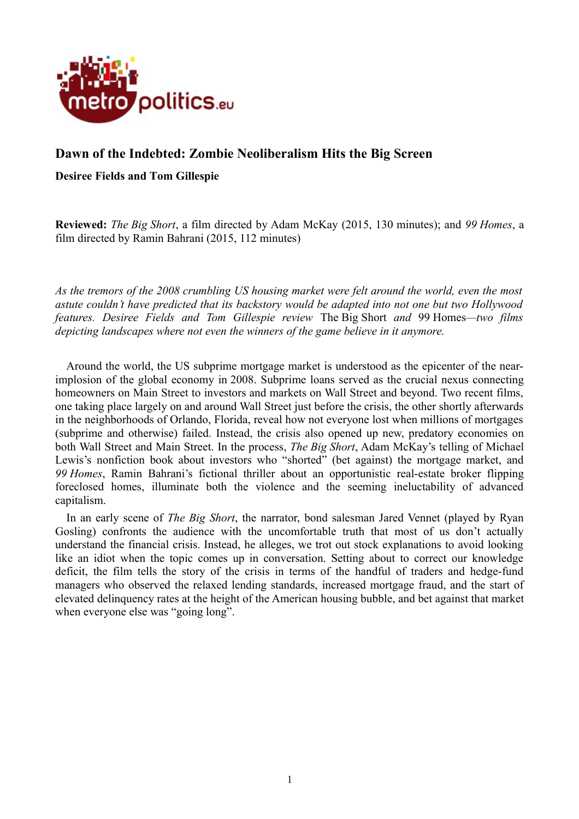

## **Dawn of the Indebted: Zombie Neoliberalism Hits the Big Screen**

**Desiree Fields and Tom Gillespie**

**Reviewed:** *The Big Short*, a film directed by Adam McKay (2015, 130 minutes); and *99 Homes*, a film directed by Ramin Bahrani (2015, 112 minutes)

*As the tremors of the 2008 crumbling US housing market were felt around the world, even the most astute couldn't have predicted that its backstory would be adapted into not one but two Hollywood features. Desiree Fields and Tom Gillespie review* The Big Short *and* 99 Homes*—two films depicting landscapes where not even the winners of the game believe in it anymore.*

Around the world, the US subprime mortgage market is understood as the epicenter of the nearimplosion of the global economy in 2008. Subprime loans served as the crucial nexus connecting homeowners on Main Street to investors and markets on Wall Street and beyond. Two recent films, one taking place largely on and around Wall Street just before the crisis, the other shortly afterwards in the neighborhoods of Orlando, Florida, reveal how not everyone lost when millions of mortgages (subprime and otherwise) failed. Instead, the crisis also opened up new, predatory economies on both Wall Street and Main Street. In the process, *The Big Short*, Adam McKay's telling of Michael Lewis's nonfiction book about investors who "shorted" (bet against) the mortgage market, and *99 Homes*, Ramin Bahrani's fictional thriller about an opportunistic real-estate broker flipping foreclosed homes, illuminate both the violence and the seeming ineluctability of advanced capitalism.

In an early scene of *The Big Short*, the narrator, bond salesman Jared Vennet (played by Ryan Gosling) confronts the audience with the uncomfortable truth that most of us don't actually understand the financial crisis. Instead, he alleges, we trot out stock explanations to avoid looking like an idiot when the topic comes up in conversation. Setting about to correct our knowledge deficit, the film tells the story of the crisis in terms of the handful of traders and hedge-fund managers who observed the relaxed lending standards, increased mortgage fraud, and the start of elevated delinquency rates at the height of the American housing bubble, and bet against that market when everyone else was "going long".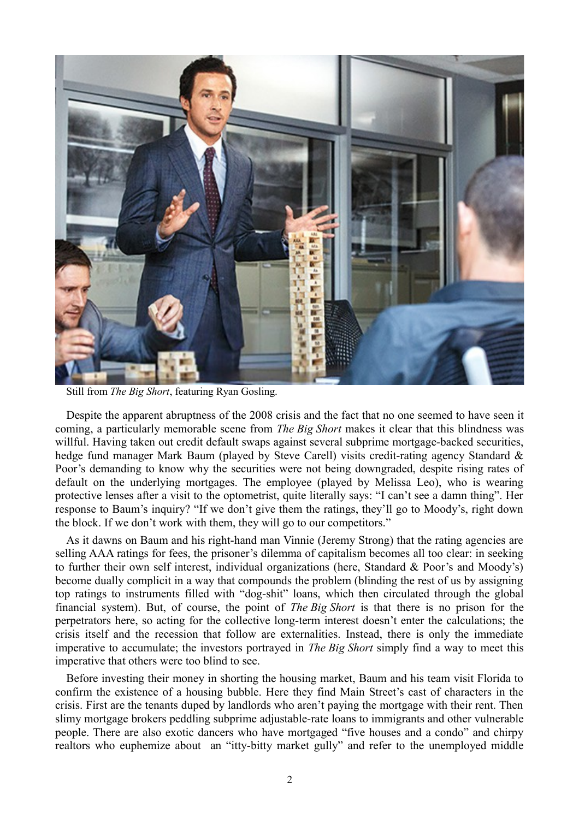

Still from *The Big Short*, featuring Ryan Gosling.

Despite the apparent abruptness of the 2008 crisis and the fact that no one seemed to have seen it coming, a particularly memorable scene from *The Big Short* makes it clear that this blindness was willful. Having taken out credit default swaps against several subprime mortgage-backed securities, hedge fund manager Mark Baum (played by Steve Carell) visits credit-rating agency Standard & Poor's demanding to know why the securities were not being downgraded, despite rising rates of default on the underlying mortgages. The employee (played by Melissa Leo), who is wearing protective lenses after a visit to the optometrist, quite literally says: "I can't see a damn thing". Her response to Baum's inquiry? "If we don't give them the ratings, they'll go to Moody's, right down the block. If we don't work with them, they will go to our competitors."

As it dawns on Baum and his right-hand man Vinnie (Jeremy Strong) that the rating agencies are selling AAA ratings for fees, the prisoner's dilemma of capitalism becomes all too clear: in seeking to further their own self interest, individual organizations (here, Standard & Poor's and Moody's) become dually complicit in a way that compounds the problem (blinding the rest of us by assigning top ratings to instruments filled with "dog-shit" loans, which then circulated through the global financial system). But, of course, the point of *The Big Short* is that there is no prison for the perpetrators here, so acting for the collective long-term interest doesn't enter the calculations; the crisis itself and the recession that follow are externalities. Instead, there is only the immediate imperative to accumulate; the investors portrayed in *The Big Short* simply find a way to meet this imperative that others were too blind to see.

Before investing their money in shorting the housing market, Baum and his team visit Florida to confirm the existence of a housing bubble. Here they find Main Street's cast of characters in the crisis. First are the tenants duped by landlords who aren't paying the mortgage with their rent. Then slimy mortgage brokers peddling subprime adjustable-rate loans to immigrants and other vulnerable people. There are also exotic dancers who have mortgaged "five houses and a condo" and chirpy realtors who euphemize about an "itty-bitty market gully" and refer to the unemployed middle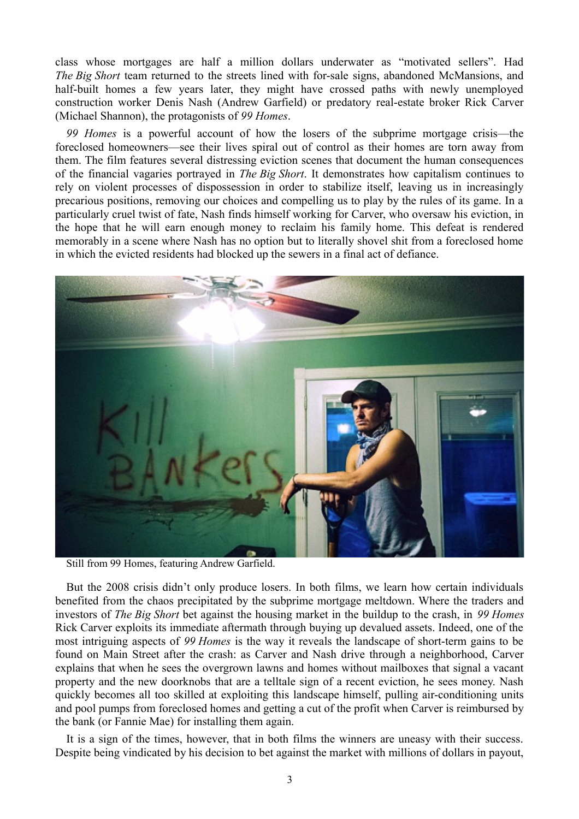class whose mortgages are half a million dollars underwater as "motivated sellers". Had *The Big Short* team returned to the streets lined with for-sale signs, abandoned McMansions, and half-built homes a few years later, they might have crossed paths with newly unemployed construction worker Denis Nash (Andrew Garfield) or predatory real-estate broker Rick Carver (Michael Shannon), the protagonists of *99 Homes*.

*99 Homes* is a powerful account of how the losers of the subprime mortgage crisis—the foreclosed homeowners—see their lives spiral out of control as their homes are torn away from them. The film features several distressing eviction scenes that document the human consequences of the financial vagaries portrayed in *The Big Short*. It demonstrates how capitalism continues to rely on violent processes of dispossession in order to stabilize itself, leaving us in increasingly precarious positions, removing our choices and compelling us to play by the rules of its game. In a particularly cruel twist of fate, Nash finds himself working for Carver, who oversaw his eviction, in the hope that he will earn enough money to reclaim his family home. This defeat is rendered memorably in a scene where Nash has no option but to literally shovel shit from a foreclosed home in which the evicted residents had blocked up the sewers in a final act of defiance.



Still from 99 Homes, featuring Andrew Garfield.

But the 2008 crisis didn't only produce losers. In both films, we learn how certain individuals benefited from the chaos precipitated by the subprime mortgage meltdown. Where the traders and investors of *The Big Short* bet against the housing market in the buildup to the crash, in *99 Homes* Rick Carver exploits its immediate aftermath through buying up devalued assets. Indeed, one of the most intriguing aspects of *99 Homes* is the way it reveals the landscape of short-term gains to be found on Main Street after the crash: as Carver and Nash drive through a neighborhood, Carver explains that when he sees the overgrown lawns and homes without mailboxes that signal a vacant property and the new doorknobs that are a telltale sign of a recent eviction, he sees money. Nash quickly becomes all too skilled at exploiting this landscape himself, pulling air-conditioning units and pool pumps from foreclosed homes and getting a cut of the profit when Carver is reimbursed by the bank (or Fannie Mae) for installing them again.

It is a sign of the times, however, that in both films the winners are uneasy with their success. Despite being vindicated by his decision to bet against the market with millions of dollars in payout,